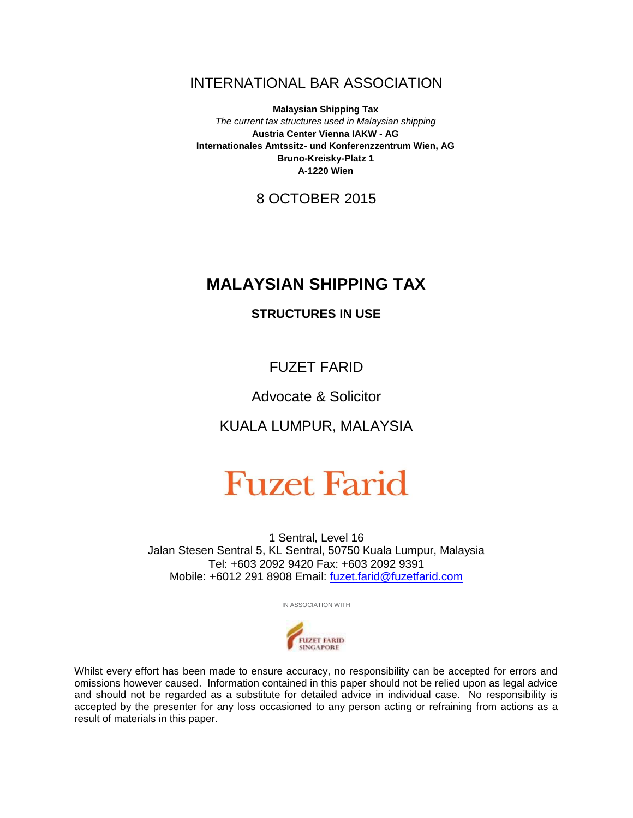## INTERNATIONAL BAR ASSOCIATION

**Malaysian Shipping Tax** *The current tax structures used in Malaysian shipping* **Austria Center Vienna IAKW - AG Internationales Amtssitz- und Konferenzzentrum Wien, AG Bruno-Kreisky-Platz 1 A-1220 Wien**

8 OCTOBER 2015

## **MALAYSIAN SHIPPING TAX**

### **STRUCTURES IN USE**

FUZET FARID

## Advocate & Solicitor

KUALA LUMPUR, MALAYSIA

# **Fuzet Farid**

1 Sentral, Level 16 Jalan Stesen Sentral 5, KL Sentral, 50750 Kuala Lumpur, Malaysia Tel: +603 2092 9420 Fax: +603 2092 9391 Mobile: +6012 291 8908 Email: [fuzet.farid@fuzetfarid.com](mailto:fuzet.farid@fuzetfarid.com)

IN ASSOCIATION WITH



Whilst every effort has been made to ensure accuracy, no responsibility can be accepted for errors and omissions however caused. Information contained in this paper should not be relied upon as legal advice and should not be regarded as a substitute for detailed advice in individual case. No responsibility is accepted by the presenter for any loss occasioned to any person acting or refraining from actions as a result of materials in this paper.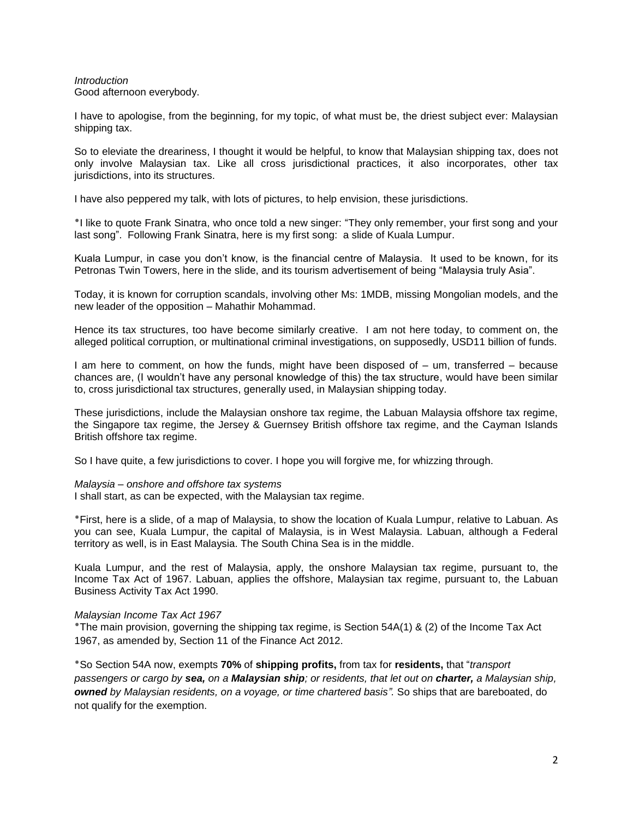#### *Introduction* Good afternoon everybody.

I have to apologise, from the beginning, for my topic, of what must be, the driest subject ever: Malaysian shipping tax.

So to eleviate the dreariness, I thought it would be helpful, to know that Malaysian shipping tax, does not only involve Malaysian tax. Like all cross jurisdictional practices, it also incorporates, other tax jurisdictions, into its structures.

I have also peppered my talk, with lots of pictures, to help envision, these jurisdictions.

٭I like to quote Frank Sinatra, who once told a new singer: "They only remember, your first song and your last song". Following Frank Sinatra, here is my first song: a slide of Kuala Lumpur.

Kuala Lumpur, in case you don't know, is the financial centre of Malaysia. It used to be known, for its Petronas Twin Towers, here in the slide, and its tourism advertisement of being "Malaysia truly Asia".

Today, it is known for corruption scandals, involving other Ms: 1MDB, missing Mongolian models, and the new leader of the opposition – Mahathir Mohammad.

Hence its tax structures, too have become similarly creative. I am not here today, to comment on, the alleged political corruption, or multinational criminal investigations, on supposedly, USD11 billion of funds.

I am here to comment, on how the funds, might have been disposed of – um, transferred – because chances are, (I wouldn't have any personal knowledge of this) the tax structure, would have been similar to, cross jurisdictional tax structures, generally used, in Malaysian shipping today.

These jurisdictions, include the Malaysian onshore tax regime, the Labuan Malaysia offshore tax regime, the Singapore tax regime, the Jersey & Guernsey British offshore tax regime, and the Cayman Islands British offshore tax regime.

So I have quite, a few jurisdictions to cover. I hope you will forgive me, for whizzing through.

#### *Malaysia – onshore and offshore tax systems*

I shall start, as can be expected, with the Malaysian tax regime.

٭First, here is a slide, of a map of Malaysia, to show the location of Kuala Lumpur, relative to Labuan. As you can see, Kuala Lumpur, the capital of Malaysia, is in West Malaysia. Labuan, although a Federal territory as well, is in East Malaysia. The South China Sea is in the middle.

Kuala Lumpur, and the rest of Malaysia, apply, the onshore Malaysian tax regime, pursuant to, the Income Tax Act of 1967. Labuan, applies the offshore, Malaysian tax regime, pursuant to, the Labuan Business Activity Tax Act 1990.

#### *Malaysian Income Tax Act 1967*

٭The main provision, governing the shipping tax regime, is Section 54A(1) & (2) of the Income Tax Act 1967, as amended by, Section 11 of the Finance Act 2012.

٭So Section 54A now, exempts **70%** of **shipping profits,** from tax for **residents,** that "*transport passengers or cargo by sea, on a Malaysian ship; or residents, that let out on charter, a Malaysian ship, owned by Malaysian residents, on a voyage, or time chartered basis".* So ships that are bareboated, do not qualify for the exemption.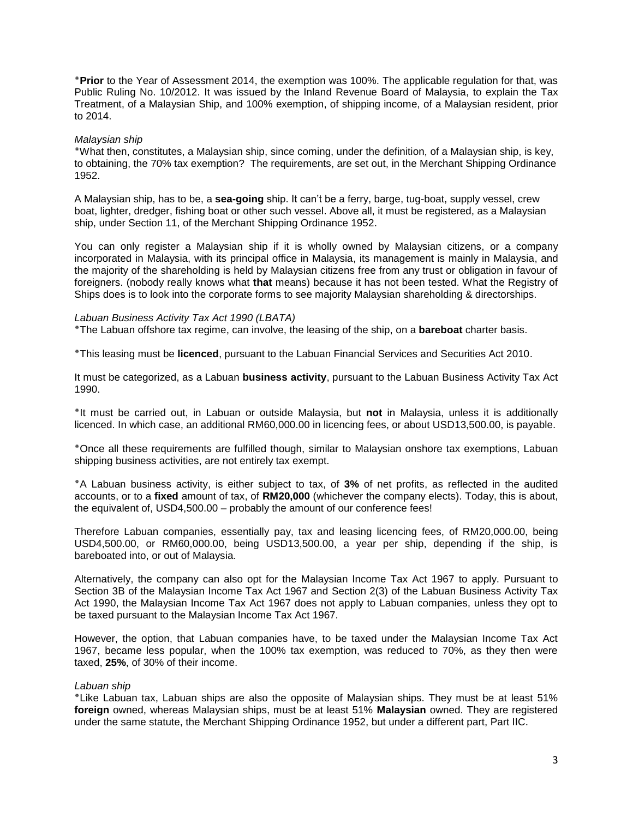٭**Prior** to the Year of Assessment 2014, the exemption was 100%. The applicable regulation for that, was Public Ruling No. 10/2012. It was issued by the Inland Revenue Board of Malaysia, to explain the Tax Treatment, of a Malaysian Ship, and 100% exemption, of shipping income, of a Malaysian resident, prior to 2014.

#### *Malaysian ship*

٭What then, constitutes, a Malaysian ship, since coming, under the definition, of a Malaysian ship, is key, to obtaining, the 70% tax exemption? The requirements, are set out, in the Merchant Shipping Ordinance 1952.

A Malaysian ship, has to be, a **sea-going** ship. It can't be a ferry, barge, tug-boat, supply vessel, crew boat, lighter, dredger, fishing boat or other such vessel. Above all, it must be registered, as a Malaysian ship, under Section 11, of the Merchant Shipping Ordinance 1952.

You can only register a Malaysian ship if it is wholly owned by Malaysian citizens, or a company incorporated in Malaysia, with its principal office in Malaysia, its management is mainly in Malaysia, and the majority of the shareholding is held by Malaysian citizens free from any trust or obligation in favour of foreigners. (nobody really knows what **that** means) because it has not been tested. What the Registry of Ships does is to look into the corporate forms to see majority Malaysian shareholding & directorships.

#### *Labuan Business Activity Tax Act 1990 (LBATA)*

٭The Labuan offshore tax regime, can involve, the leasing of the ship, on a **bareboat** charter basis.

٭This leasing must be **licenced**, pursuant to the Labuan Financial Services and Securities Act 2010.

It must be categorized, as a Labuan **business activity**, pursuant to the Labuan Business Activity Tax Act 1990.

٭It must be carried out, in Labuan or outside Malaysia, but **not** in Malaysia, unless it is additionally licenced. In which case, an additional RM60,000.00 in licencing fees, or about USD13,500.00, is payable.

٭Once all these requirements are fulfilled though, similar to Malaysian onshore tax exemptions, Labuan shipping business activities, are not entirely tax exempt.

٭A Labuan business activity, is either subject to tax, of **3%** of net profits, as reflected in the audited accounts, or to a **fixed** amount of tax, of **RM20,000** (whichever the company elects). Today, this is about, the equivalent of, USD4,500.00 – probably the amount of our conference fees!

Therefore Labuan companies, essentially pay, tax and leasing licencing fees, of RM20,000.00, being USD4,500.00, or RM60,000.00, being USD13,500.00, a year per ship, depending if the ship, is bareboated into, or out of Malaysia.

Alternatively, the company can also opt for the Malaysian Income Tax Act 1967 to apply. Pursuant to Section 3B of the Malaysian Income Tax Act 1967 and Section 2(3) of the Labuan Business Activity Tax Act 1990, the Malaysian Income Tax Act 1967 does not apply to Labuan companies, unless they opt to be taxed pursuant to the Malaysian Income Tax Act 1967.

However, the option, that Labuan companies have, to be taxed under the Malaysian Income Tax Act 1967, became less popular, when the 100% tax exemption, was reduced to 70%, as they then were taxed, **25%**, of 30% of their income.

#### *Labuan ship*

٭Like Labuan tax, Labuan ships are also the opposite of Malaysian ships. They must be at least 51% **foreign** owned, whereas Malaysian ships, must be at least 51% **Malaysian** owned. They are registered under the same statute, the Merchant Shipping Ordinance 1952, but under a different part, Part IIC.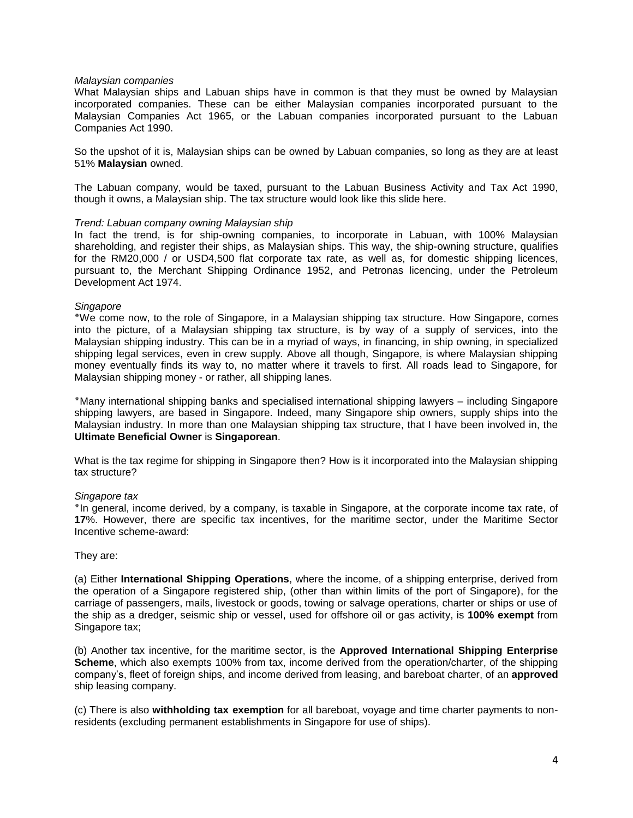#### *Malaysian companies*

What Malaysian ships and Labuan ships have in common is that they must be owned by Malaysian incorporated companies. These can be either Malaysian companies incorporated pursuant to the Malaysian Companies Act 1965, or the Labuan companies incorporated pursuant to the Labuan Companies Act 1990.

So the upshot of it is, Malaysian ships can be owned by Labuan companies, so long as they are at least 51% **Malaysian** owned.

The Labuan company, would be taxed, pursuant to the Labuan Business Activity and Tax Act 1990, though it owns, a Malaysian ship. The tax structure would look like this slide here.

#### *Trend: Labuan company owning Malaysian ship*

In fact the trend, is for ship-owning companies, to incorporate in Labuan, with 100% Malaysian shareholding, and register their ships, as Malaysian ships. This way, the ship-owning structure, qualifies for the RM20,000 / or USD4,500 flat corporate tax rate, as well as, for domestic shipping licences, pursuant to, the Merchant Shipping Ordinance 1952, and Petronas licencing, under the Petroleum Development Act 1974.

#### *Singapore*

٭We come now, to the role of Singapore, in a Malaysian shipping tax structure. How Singapore, comes into the picture, of a Malaysian shipping tax structure, is by way of a supply of services, into the Malaysian shipping industry. This can be in a myriad of ways, in financing, in ship owning, in specialized shipping legal services, even in crew supply. Above all though, Singapore, is where Malaysian shipping money eventually finds its way to, no matter where it travels to first. All roads lead to Singapore, for Malaysian shipping money - or rather, all shipping lanes.

٭Many international shipping banks and specialised international shipping lawyers – including Singapore shipping lawyers, are based in Singapore. Indeed, many Singapore ship owners, supply ships into the Malaysian industry. In more than one Malaysian shipping tax structure, that I have been involved in, the **Ultimate Beneficial Owner** is **Singaporean**.

What is the tax regime for shipping in Singapore then? How is it incorporated into the Malaysian shipping tax structure?

#### *Singapore tax*

٭In general, income derived, by a company, is taxable in Singapore, at the corporate income tax rate, of **17**%. However, there are specific tax incentives, for the maritime sector, under the Maritime Sector Incentive scheme-award:

#### They are:

(a) Either **International Shipping Operations**, where the income, of a shipping enterprise, derived from the operation of a Singapore registered ship, (other than within limits of the port of Singapore), for the carriage of passengers, mails, livestock or goods, towing or salvage operations, charter or ships or use of the ship as a dredger, seismic ship or vessel, used for offshore oil or gas activity, is **100% exempt** from Singapore tax;

(b) Another tax incentive, for the maritime sector, is the **Approved International Shipping Enterprise Scheme**, which also exempts 100% from tax, income derived from the operation/charter, of the shipping company's, fleet of foreign ships, and income derived from leasing, and bareboat charter, of an **approved** ship leasing company.

(c) There is also **withholding tax exemption** for all bareboat, voyage and time charter payments to nonresidents (excluding permanent establishments in Singapore for use of ships).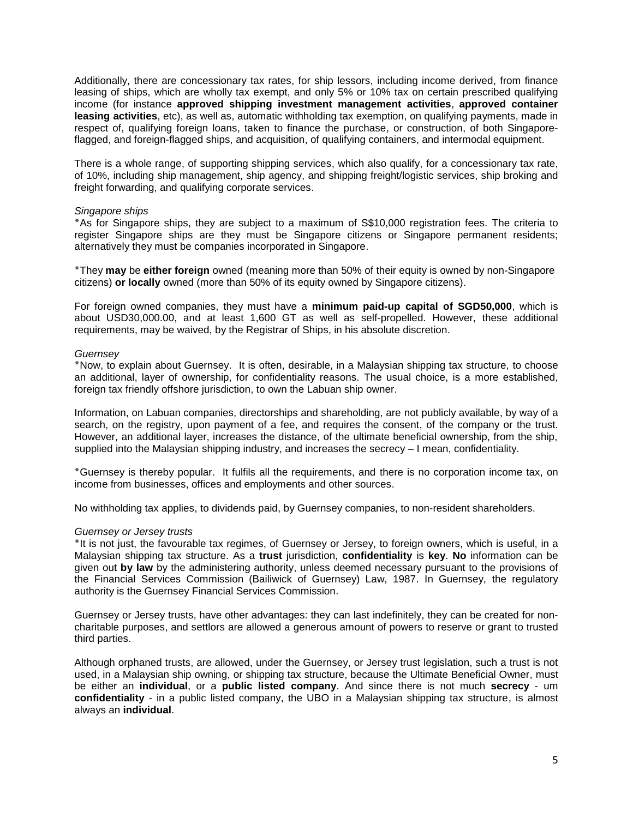Additionally, there are concessionary tax rates, for ship lessors, including income derived, from finance leasing of ships, which are wholly tax exempt, and only 5% or 10% tax on certain prescribed qualifying income (for instance **approved shipping investment management activities**, **approved container leasing activities**, etc), as well as, automatic withholding tax exemption, on qualifying payments, made in respect of, qualifying foreign loans, taken to finance the purchase, or construction, of both Singaporeflagged, and foreign-flagged ships, and acquisition, of qualifying containers, and intermodal equipment.

There is a whole range, of supporting shipping services, which also qualify, for a concessionary tax rate, of 10%, including ship management, ship agency, and shipping freight/logistic services, ship broking and freight forwarding, and qualifying corporate services.

#### *Singapore ships*

٭As for Singapore ships, they are subject to a maximum of S\$10,000 registration fees. The criteria to register Singapore ships are they must be Singapore citizens or Singapore permanent residents; alternatively they must be companies incorporated in Singapore.

٭They **may** be **either foreign** owned (meaning more than 50% of their equity is owned by non-Singapore citizens) **or locally** owned (more than 50% of its equity owned by Singapore citizens).

For foreign owned companies, they must have a **minimum paid-up capital of SGD50,000**, which is about USD30,000.00, and at least 1,600 GT as well as self-propelled. However, these additional requirements, may be waived, by the Registrar of Ships, in his absolute discretion.

#### *Guernsey*

٭Now, to explain about Guernsey. It is often, desirable, in a Malaysian shipping tax structure, to choose an additional, layer of ownership, for confidentiality reasons. The usual choice, is a more established, foreign tax friendly offshore jurisdiction, to own the Labuan ship owner.

Information, on Labuan companies, directorships and shareholding, are not publicly available, by way of a search, on the registry, upon payment of a fee, and requires the consent, of the company or the trust. However, an additional layer, increases the distance, of the ultimate beneficial ownership, from the ship, supplied into the Malaysian shipping industry, and increases the secrecy – I mean, confidentiality.

٭Guernsey is thereby popular. It fulfils all the requirements, and there is no corporation income tax, on income from businesses, offices and employments and other sources.

No withholding tax applies, to dividends paid, by Guernsey companies, to non-resident shareholders.

#### *Guernsey or Jersey trusts*

٭It is not just, the favourable tax regimes, of Guernsey or Jersey, to foreign owners, which is useful, in a Malaysian shipping tax structure. As a **trust** jurisdiction, **confidentiality** is **key**. **No** information can be given out **by law** by the administering authority, unless deemed necessary pursuant to the provisions of the Financial Services Commission (Bailiwick of Guernsey) Law, 1987. In Guernsey, the regulatory authority is the Guernsey Financial Services Commission.

Guernsey or Jersey trusts, have other advantages: they can last indefinitely, they can be created for noncharitable purposes, and settlors are allowed a generous amount of powers to reserve or grant to trusted third parties.

Although orphaned trusts, are allowed, under the Guernsey, or Jersey trust legislation, such a trust is not used, in a Malaysian ship owning, or shipping tax structure, because the Ultimate Beneficial Owner, must be either an **individual**, or a **public listed company**. And since there is not much **secrecy** - um **confidentiality** - in a public listed company, the UBO in a Malaysian shipping tax structure, is almost always an **individual**.